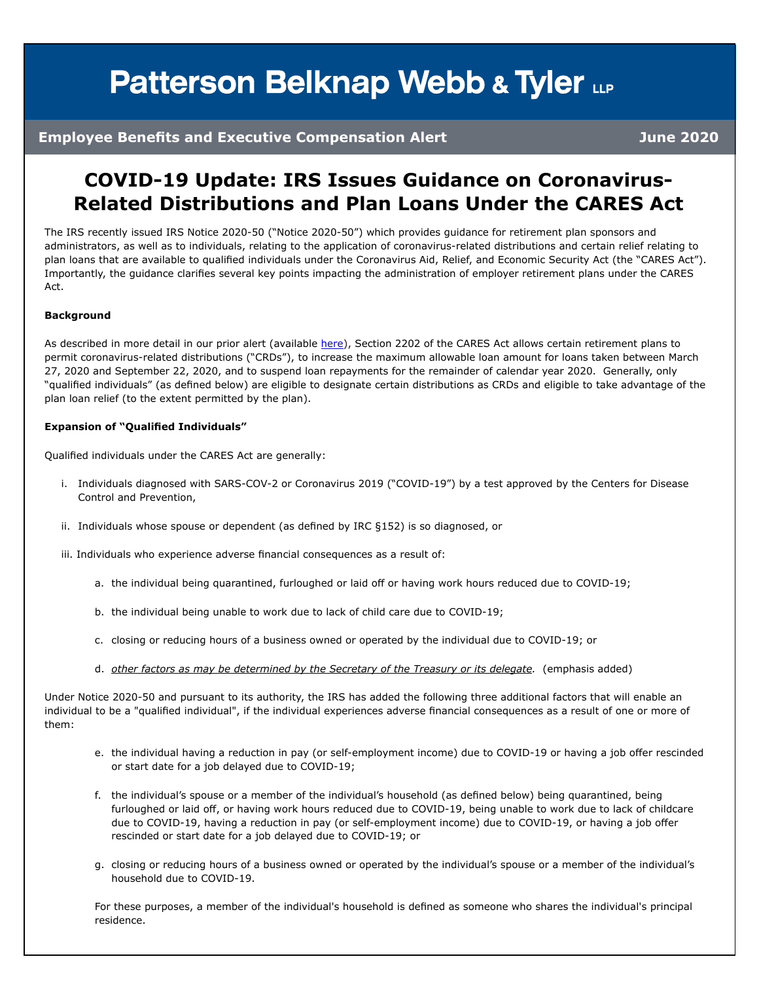# **Patterson Belknap Webb & Tyler LLP**

#### **Employee Benefits and Executive Compensation Alert June 2020**

### **COVID-19 Update: IRS Issues Guidance on Coronavirus-Related Distributions and Plan Loans Under the CARES Act**

The IRS recently issued IRS Notice 2020-50 ("Notice 2020-50") which provides guidance for retirement plan sponsors and administrators, as well as to individuals, relating to the application of coronavirus-related distributions and certain relief relating to plan loans that are available to qualified individuals under the Coronavirus Aid, Relief, and Economic Security Act (the "CARES Act"). Importantly, the guidance clarifies several key points impacting the administration of employer retirement plans under the CARES Act.

#### **Background**

As described in more detail in our prior alert (available [here\),](https://www.pbwt.com/publications/cares-act-retirement-plan-provisions-for-employers-and-plan-administrators/) Section 2202 of the CARES Act allows certain retirement plans to permit coronavirus-related distributions ("CRDs"), to increase the maximum allowable loan amount for loans taken between March 27, 2020 and September 22, 2020, and to suspend loan repayments for the remainder of calendar year 2020. Generally, only "qualified individuals" (as defined below) are eligible to designate certain distributions as CRDs and eligible to take advantage of the plan loan relief (to the extent permitted by the plan).

#### **Expansion of "Qualified Individuals"**

Qualified individuals under the CARES Act are generally:

- i. Individuals diagnosed with SARS-COV-2 or Coronavirus 2019 ("COVID-19") by a test approved by the Centers for Disease Control and Prevention,
- ii. Individuals whose spouse or dependent (as defined by IRC §152) is so diagnosed, or
- iii. Individuals who experience adverse financial consequences as a result of:
	- a. the individual being quarantined, furloughed or laid off or having work hours reduced due to COVID-19;
	- b. the individual being unable to work due to lack of child care due to COVID-19;
	- c. closing or reducing hours of a business owned or operated by the individual due to COVID-19; or
	- d. *other factors as may be determined by the Secretary of the Treasury or its delegate.* (emphasis added)

Under Notice 2020-50 and pursuant to its authority, the IRS has added the following three additional factors that will enable an individual to be a "qualified individual", if the individual experiences adverse financial consequences as a result of one or more of them:

- e. the individual having a reduction in pay (or self-employment income) due to COVID-19 or having a job offer rescinded or start date for a job delayed due to COVID-19;
- f. the individual's spouse or a member of the individual's household (as defined below) being quarantined, being furloughed or laid off, or having work hours reduced due to COVID-19, being unable to work due to lack of childcare due to COVID-19, having a reduction in pay (or self-employment income) due to COVID-19, or having a job offer rescinded or start date for a job delayed due to COVID-19; or
- g. closing or reducing hours of a business owned or operated by the individual's spouse or a member of the individual's household due to COVID-19.

For these purposes, a member of the individual's household is defined as someone who shares the individual's principal residence.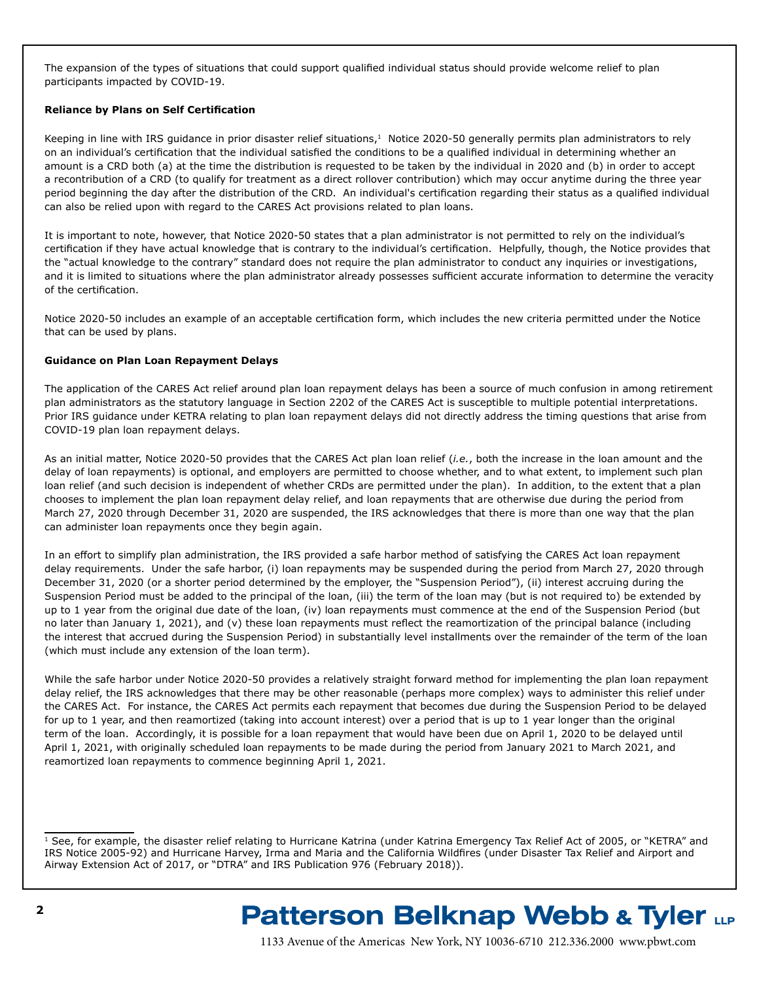The expansion of the types of situations that could support qualified individual status should provide welcome relief to plan participants impacted by COVID-19.

#### **Reliance by Plans on Self Certification**

Keeping in line with IRS guidance in prior disaster relief situations, $1$  Notice 2020-50 generally permits plan administrators to rely on an individual's certification that the individual satisfied the conditions to be a qualified individual in determining whether an amount is a CRD both (a) at the time the distribution is requested to be taken by the individual in 2020 and (b) in order to accept a recontribution of a CRD (to qualify for treatment as a direct rollover contribution) which may occur anytime during the three year period beginning the day after the distribution of the CRD. An individual's certification regarding their status as a qualified individual can also be relied upon with regard to the CARES Act provisions related to plan loans.

It is important to note, however, that Notice 2020-50 states that a plan administrator is not permitted to rely on the individual's certification if they have actual knowledge that is contrary to the individual's certification. Helpfully, though, the Notice provides that the "actual knowledge to the contrary" standard does not require the plan administrator to conduct any inquiries or investigations, and it is limited to situations where the plan administrator already possesses sufficient accurate information to determine the veracity of the certification.

Notice 2020-50 includes an example of an acceptable certification form, which includes the new criteria permitted under the Notice that can be used by plans.

#### **Guidance on Plan Loan Repayment Delays**

The application of the CARES Act relief around plan loan repayment delays has been a source of much confusion in among retirement plan administrators as the statutory language in Section 2202 of the CARES Act is susceptible to multiple potential interpretations. Prior IRS guidance under KETRA relating to plan loan repayment delays did not directly address the timing questions that arise from COVID-19 plan loan repayment delays.

As an initial matter, Notice 2020-50 provides that the CARES Act plan loan relief (*i.e.*, both the increase in the loan amount and the delay of loan repayments) is optional, and employers are permitted to choose whether, and to what extent, to implement such plan loan relief (and such decision is independent of whether CRDs are permitted under the plan). In addition, to the extent that a plan chooses to implement the plan loan repayment delay relief, and loan repayments that are otherwise due during the period from March 27, 2020 through December 31, 2020 are suspended, the IRS acknowledges that there is more than one way that the plan can administer loan repayments once they begin again.

In an effort to simplify plan administration, the IRS provided a safe harbor method of satisfying the CARES Act loan repayment delay requirements. Under the safe harbor, (i) loan repayments may be suspended during the period from March 27, 2020 through December 31, 2020 (or a shorter period determined by the employer, the "Suspension Period"), (ii) interest accruing during the Suspension Period must be added to the principal of the loan, (iii) the term of the loan may (but is not required to) be extended by up to 1 year from the original due date of the loan, (iv) loan repayments must commence at the end of the Suspension Period (but no later than January 1, 2021), and (v) these loan repayments must reflect the reamortization of the principal balance (including the interest that accrued during the Suspension Period) in substantially level installments over the remainder of the term of the loan (which must include any extension of the loan term).

While the safe harbor under Notice 2020-50 provides a relatively straight forward method for implementing the plan loan repayment delay relief, the IRS acknowledges that there may be other reasonable (perhaps more complex) ways to administer this relief under the CARES Act. For instance, the CARES Act permits each repayment that becomes due during the Suspension Period to be delayed for up to 1 year, and then reamortized (taking into account interest) over a period that is up to 1 year longer than the original term of the loan. Accordingly, it is possible for a loan repayment that would have been due on April 1, 2020 to be delayed until April 1, 2021, with originally scheduled loan repayments to be made during the period from January 2021 to March 2021, and reamortized loan repayments to commence beginning April 1, 2021.

## **Patterson Belknap Webb & Tyler LLP**

 $1$  See, for example, the disaster relief relating to Hurricane Katrina (under Katrina Emergency Tax Relief Act of 2005, or "KETRA" and IRS Notice 2005-92) and Hurricane Harvey, Irma and Maria and the California Wildfires (under Disaster Tax Relief and Airport and Airway Extension Act of 2017, or "DTRA" and IRS Publication 976 (February 2018)).